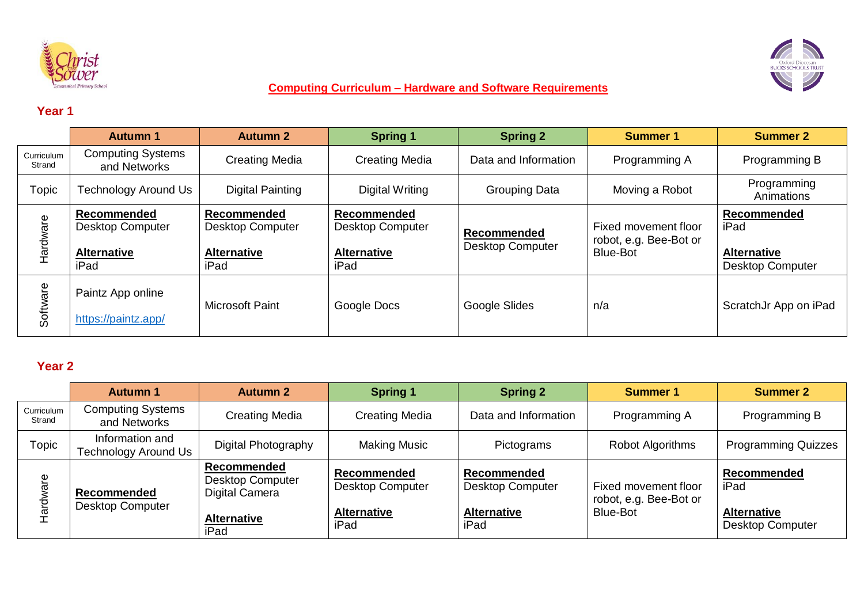



#### **Computing Curriculum – Hardware and Software Requirements**

## **Year 1**

|                      | <b>Autumn 1</b>                                                      | <b>Autumn 2</b>                                                      | <b>Spring 1</b>                                                      | <b>Spring 2</b>                               | <b>Summer 1</b>                                            | <b>Summer 2</b>                                                      |
|----------------------|----------------------------------------------------------------------|----------------------------------------------------------------------|----------------------------------------------------------------------|-----------------------------------------------|------------------------------------------------------------|----------------------------------------------------------------------|
| Curriculum<br>Strand | <b>Computing Systems</b><br>and Networks                             | <b>Creating Media</b>                                                | <b>Creating Media</b>                                                | Data and Information                          | Programming A                                              | Programming B                                                        |
| Topic                | Technology Around Us                                                 | <b>Digital Painting</b>                                              | Digital Writing                                                      | <b>Grouping Data</b>                          | Moving a Robot                                             | Programming<br>Animations                                            |
| Hardware             | Recommended<br><b>Desktop Computer</b><br><b>Alternative</b><br>iPad | Recommended<br><b>Desktop Computer</b><br><b>Alternative</b><br>iPad | Recommended<br><b>Desktop Computer</b><br><b>Alternative</b><br>iPad | <b>Recommended</b><br><b>Desktop Computer</b> | Fixed movement floor<br>robot, e.g. Bee-Bot or<br>Blue-Bot | Recommended<br>iPad<br><b>Alternative</b><br><b>Desktop Computer</b> |
| Software             | Paintz App online<br>https://paintz.app/                             | <b>Microsoft Paint</b>                                               | Google Docs                                                          | Google Slides                                 | n/a                                                        | ScratchJr App on iPad                                                |

#### **Year 2**

|                      | <b>Autumn 1</b>                          | <b>Autumn 2</b>                                                                               | <b>Spring 1</b>                                                             | <b>Spring 2</b>                                                      | <b>Summer 1</b>                                                   | <b>Summer 2</b>                                                      |
|----------------------|------------------------------------------|-----------------------------------------------------------------------------------------------|-----------------------------------------------------------------------------|----------------------------------------------------------------------|-------------------------------------------------------------------|----------------------------------------------------------------------|
| Curriculum<br>Strand | <b>Computing Systems</b><br>and Networks | <b>Creating Media</b>                                                                         | <b>Creating Media</b>                                                       | Data and Information                                                 | Programming A                                                     | Programming B                                                        |
| Topic                | Information and<br>Technology Around Us  | Digital Photography                                                                           | Making Music                                                                | Pictograms                                                           | Robot Algorithms                                                  | <b>Programming Quizzes</b>                                           |
| are<br><u>ਕ</u>      | Recommended<br><b>Desktop Computer</b>   | <b>Recommended</b><br><b>Desktop Computer</b><br>Digital Camera<br><b>Alternative</b><br>iPad | <b>Recommended</b><br><b>Desktop Computer</b><br><b>Alternative</b><br>iPad | Recommended<br><b>Desktop Computer</b><br><b>Alternative</b><br>iPad | Fixed movement floor<br>robot, e.g. Bee-Bot or<br><b>Blue-Bot</b> | Recommended<br>iPad<br><b>Alternative</b><br><b>Desktop Computer</b> |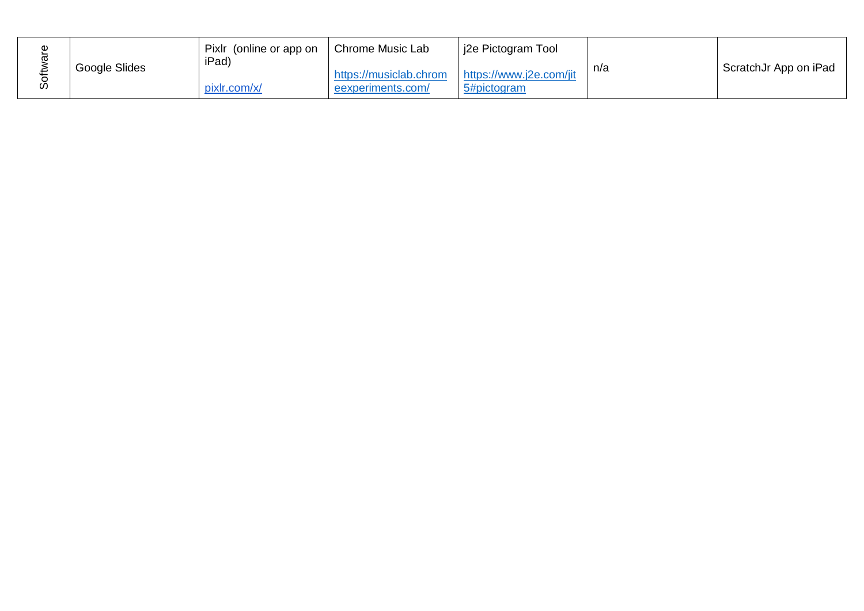| Ф |               | Pixlr (online or app on | Chrome Music Lab                                                    | i2e Pictogram Tool |     |                       |
|---|---------------|-------------------------|---------------------------------------------------------------------|--------------------|-----|-----------------------|
|   | Google Slides | iPad)<br>pixlr.com/x/   | https://musiclab.chrom https://www.j2e.com/jit<br>eexperiments.com/ | 5#pictogram        | n/a | ScratchJr App on iPad |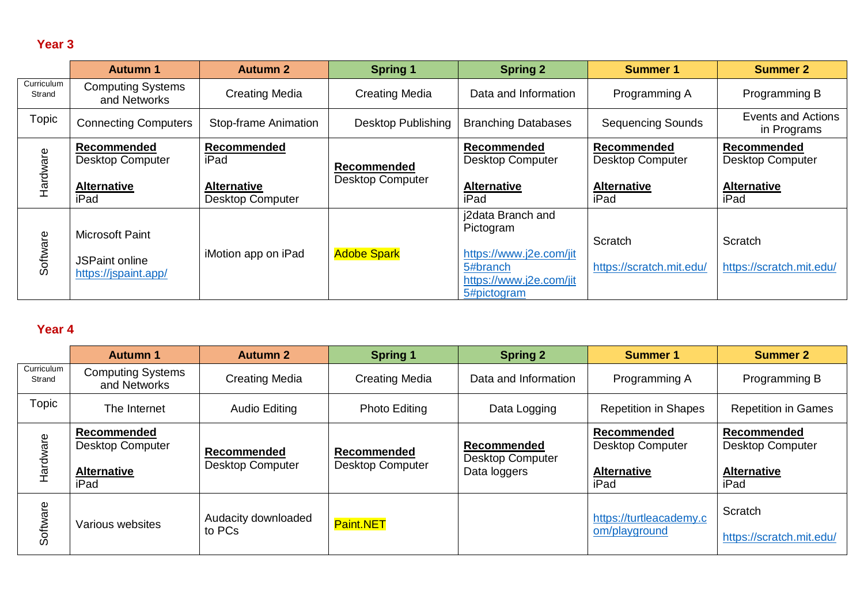# **Year 3**

|                      | <b>Autumn 1</b>                               | <b>Autumn 2</b>                               | <b>Spring 1</b>                        | <b>Spring 2</b>                                                               | <b>Summer 1</b>                        | <b>Summer 2</b>                               |
|----------------------|-----------------------------------------------|-----------------------------------------------|----------------------------------------|-------------------------------------------------------------------------------|----------------------------------------|-----------------------------------------------|
| Curriculum<br>Strand | <b>Computing Systems</b><br>and Networks      | <b>Creating Media</b>                         | <b>Creating Media</b>                  | Data and Information                                                          | Programming A                          | Programming B                                 |
| Topic                | <b>Connecting Computers</b>                   | <b>Stop-frame Animation</b>                   | Desktop Publishing                     | <b>Branching Databases</b>                                                    | <b>Sequencing Sounds</b>               | <b>Events and Actions</b><br>in Programs      |
| Hardware             | Recommended<br><b>Desktop Computer</b>        | Recommended<br>iPad                           | Recommended<br><b>Desktop Computer</b> | Recommended<br><b>Desktop Computer</b>                                        | Recommended<br><b>Desktop Computer</b> | <b>Recommended</b><br><b>Desktop Computer</b> |
|                      | <b>Alternative</b><br>iPad                    | <b>Alternative</b><br><b>Desktop Computer</b> |                                        | <b>Alternative</b><br>iPad                                                    | <b>Alternative</b><br>iPad             | <b>Alternative</b><br>iPad                    |
|                      | <b>Microsoft Paint</b>                        |                                               |                                        | j2data Branch and<br>Pictogram                                                | Scratch                                | Scratch                                       |
| Software             | <b>JSPaint online</b><br>https://jspaint.app/ | iMotion app on iPad                           | <b>Adobe Spark</b>                     | https://www.j2e.com/jit<br>5#branch<br>https://www.j2e.com/jit<br>5#pictogram | https://scratch.mit.edu/               | https://scratch.mit.edu/                      |

## **Year 4**

|                      | <b>Autumn 1</b>                          | <b>Autumn 2</b>                               | <b>Spring 1</b>                        | <b>Spring 2</b>                                        | <b>Summer 1</b>                               | <b>Summer 2</b>                        |
|----------------------|------------------------------------------|-----------------------------------------------|----------------------------------------|--------------------------------------------------------|-----------------------------------------------|----------------------------------------|
| Curriculum<br>Strand | <b>Computing Systems</b><br>and Networks | <b>Creating Media</b>                         | <b>Creating Media</b>                  | Data and Information                                   | Programming A                                 | Programming B                          |
| Topic                | The Internet                             | <b>Audio Editing</b>                          | <b>Photo Editing</b>                   | Data Logging                                           | <b>Repetition in Shapes</b>                   | <b>Repetition in Games</b>             |
| Hardware             | Recommended<br><b>Desktop Computer</b>   | <b>Recommended</b><br><b>Desktop Computer</b> | Recommended<br><b>Desktop Computer</b> | Recommended<br><b>Desktop Computer</b><br>Data loggers | <b>Recommended</b><br><b>Desktop Computer</b> | Recommended<br><b>Desktop Computer</b> |
|                      | <b>Alternative</b><br>iPad               |                                               |                                        |                                                        | <b>Alternative</b><br>iPad                    | <b>Alternative</b><br>iPad             |
| Software             | Various websites                         | Audacity downloaded<br>to PCs                 | Paint.NET                              |                                                        | https://turtleacademy.c<br>om/playground      | Scratch<br>https://scratch.mit.edu/    |